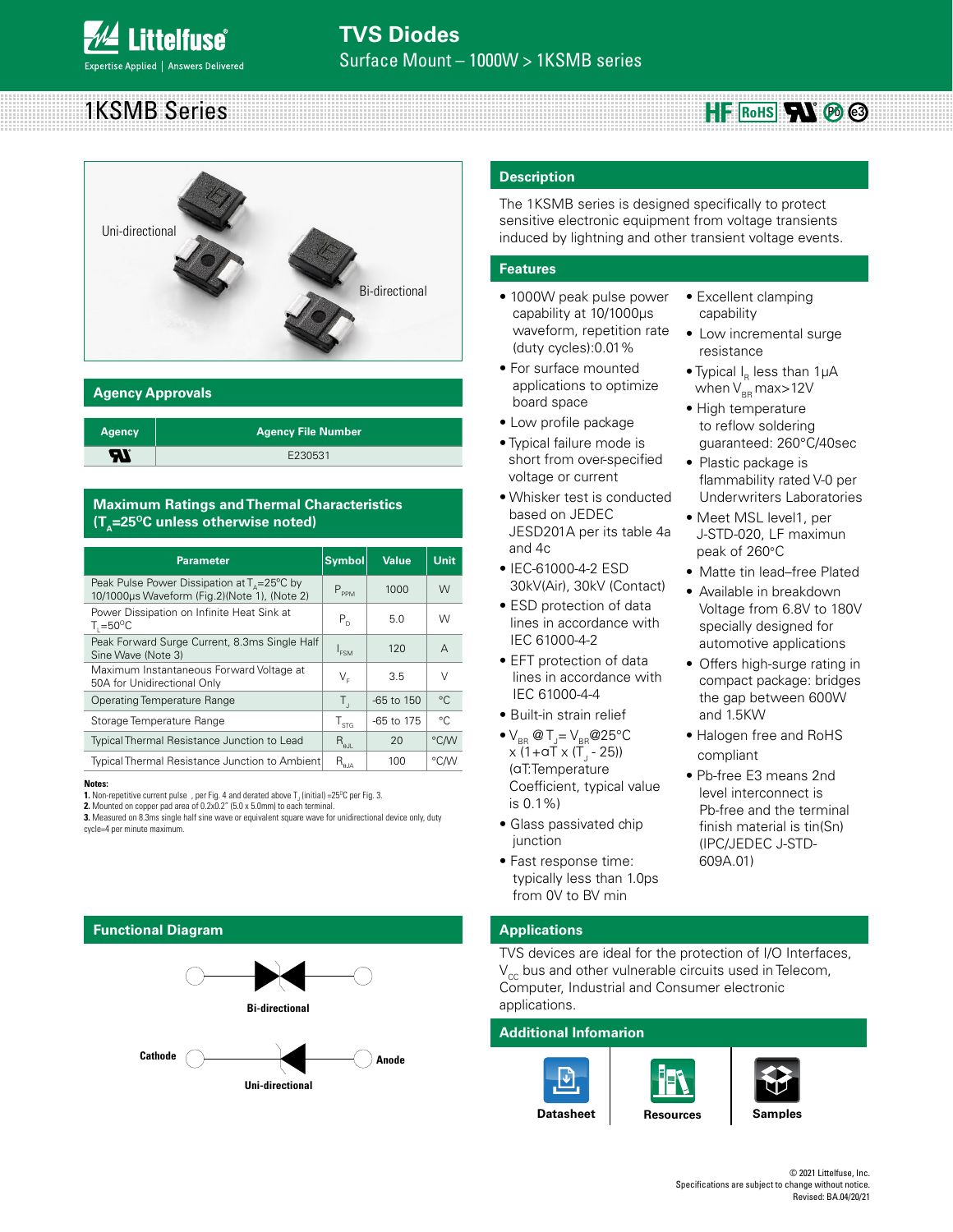#### 1KSMB Series  $HF$  RoHS $\Pi \otimes \mathbb{S}$



#### **Agency Approvals**

| <b>Agency</b> | ∣ Agency File Number <sup>i</sup> |
|---------------|-----------------------------------|
|               | E230531                           |

#### **Maximum Ratings and Thermal Characteristics**   $(T_A=25^{\circ}C \text{ unless otherwise noted})$

| <b>Parameter</b>                                                                                               | <b>Symbol</b>                                | <b>Value</b>   | Unit.        |
|----------------------------------------------------------------------------------------------------------------|----------------------------------------------|----------------|--------------|
| Peak Pulse Power Dissipation at $T_{\Lambda} = 25^{\circ}C$ by<br>10/1000µs Waveform (Fig.2)(Note 1), (Note 2) | $P_{PPM}$                                    | 1000           | W            |
| Power Dissipation on Infinite Heat Sink at<br>$T_{\text{I}} = 50^{\circ}C$                                     | $P_{n}$                                      | 5.0            | W            |
| Peak Forward Surge Current, 8.3ms Single Half<br>Sine Wave (Note 3)                                            | I <sub>FSM</sub>                             | 120            | A            |
| Maximum Instantaneous Forward Voltage at<br>50A for Unidirectional Only                                        | V,                                           | 3.5            | $\vee$       |
| Operating Temperature Range                                                                                    | Τ,                                           | $-65$ to $150$ | $^{\circ}$ C |
| Storage Temperature Range                                                                                      | $T_{\rm src}$                                | -65 to 175     | $^{\circ}$ C |
| Typical Thermal Resistance Junction to Lead                                                                    | $R_{\rm all}$                                | 20             | °C/W         |
| Typical Thermal Resistance Junction to Ambient                                                                 | $\mathsf{R}_{_{\boldsymbol{0} \mathsf{JA}}}$ | 100            | °CM          |

#### **Notes:**

**2.** Mounted on copper pad area of 0.2x0.2" (5.0 x 5.0mm) to each terminal.

**3.** Measured on 8.3ms single half sine wave or equivalent square wave for unidirectional device only, duty cycle=4 per minute maximum.

# **Functional Diagram Bi-directional Uni-directional**  Cathode ( ) **Anode**

#### **Description**

The 1KSMB series is designed specifically to protect sensitive electronic equipment from voltage transients induced by lightning and other transient voltage events.

> • Excellent clamping capability

resistance

• Low incremental surge

• Typical  $I<sub>e</sub>$  less than 1 $\mu$ A when  $V_{BB}$  max>12V • High temperature to reflow soldering guaranteed: 260°C/40sec

• Plastic package is

peak of 260°C

and 1.5KW

compliant

• Halogen free and RoHS

• Pb-free E3 means 2nd level interconnect is Pb-free and the terminal finish material is tin(Sn)

flammability rated V-0 per Underwriters Laboratories • Meet MSL level1, per J-STD-020, LF maximun

• Matte tin lead–free Plated • Available in breakdown Voltage from 6.8V to 180V specially designed for automotive applications • Offers high-surge rating in compact package: bridges the gap between 600W

#### **Features**

- 1000W peak pulse power capability at 10/1000μs waveform, repetition rate (duty cycles):0.01%
- For surface mounted applications to optimize board space
- Low profile package
- Typical failure mode is short from over-specified voltage or current
- Whisker test is conducted based on JEDEC JESD201A per its table 4a and 4c
- IEC-61000-4-2 ESD 30kV(Air), 30kV (Contact)
- ESD protection of data lines in accordance with IEC 61000-4-2
- EFT protection of data lines in accordance with IEC 61000-4-4
- Built-in strain relief
- $\bullet$  V<sub>BR</sub> @ T<sub>J</sub>= V<sub>BR</sub> @ 25°C x (1+αT x (T<sub>J</sub> - 25)) (αT:Temperature Coefficient, typical value is 0.1%)
- Glass passivated chip junction
- Fast response time: typically less than 1.0ps from 0V to BV min

### **Applications**

TVS devices are ideal for the protection of I/O Interfaces,  $V_{cc}$  bus and other vulnerable circuits used in Telecom, Computer, Industrial and Consumer electronic applications.

#### **Additional Infomarion**





**[Resources](http://www.littelfuse.com/products/tvs-diodes/surface-mount/1ksmb.aspx#TechnicalResources) [Samples](http://www.littelfuse.com/products/tvs-diodes/surface-mount/1ksmb.aspx#ElectricalCharacteristics)**

(IPC/JEDEC J-STD-609A.01)

**<sup>1.</sup>** Non-repetitive current pulse , per Fig. 4 and derated above  $T_{\text{J}}$  (initial) =25<sup>o</sup>C per Fig. 3.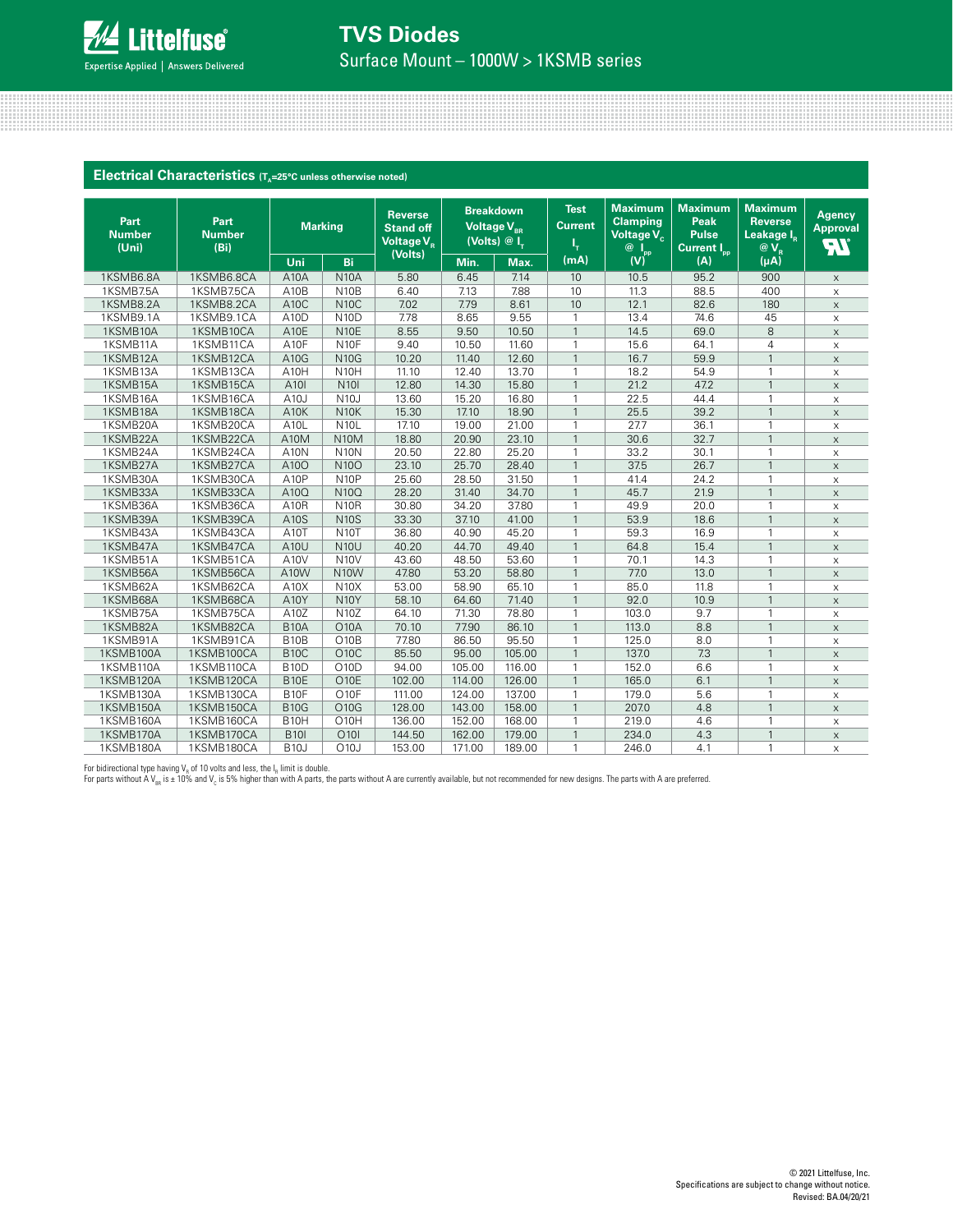

## **TVS Diodes**

Surface Mount – 1000W > 1KSMB series

|                                | Electrical Characteristics (T <sub>a</sub> =25°C unless otherwise noted) |                   |                   |                                                                         |        |                                                                    |                                     |                                                                                                                        |                                                                          |                                                                        |                                               |
|--------------------------------|--------------------------------------------------------------------------|-------------------|-------------------|-------------------------------------------------------------------------|--------|--------------------------------------------------------------------|-------------------------------------|------------------------------------------------------------------------------------------------------------------------|--------------------------------------------------------------------------|------------------------------------------------------------------------|-----------------------------------------------|
|                                |                                                                          |                   |                   |                                                                         |        |                                                                    |                                     |                                                                                                                        |                                                                          |                                                                        |                                               |
| Part<br><b>Number</b><br>(Uni) | Part<br><b>Number</b><br>(Bi)                                            |                   | <b>Marking</b>    | <b>Reverse</b><br><b>Stand off</b><br>Voltage V <sub>p</sub><br>(Volts) |        | <b>Breakdown</b><br>Voltage V <sub>BR</sub><br>(Volts) $@I_{\tau}$ | <b>Test</b><br><b>Current</b><br>ι. | <b>Maximum</b><br><b>Clamping</b><br>Voltage V <sub>c</sub><br>$\overline{\omega}$ $\overline{\mathsf{I}_{\text{pp}}}$ | <b>Maximum</b><br><b>Peak</b><br><b>Pulse</b><br>Current I <sub>pp</sub> | <b>Maximum</b><br><b>Reverse</b><br>Leakage I <sub>n</sub><br>$@V_{R}$ | <b>Agency</b><br><b>Approval</b><br><b>AT</b> |
|                                |                                                                          | Uni               | Bi                |                                                                         | Min.   | Max.                                                               | (mA)                                | (V)                                                                                                                    | (A)                                                                      | $(\mu A)$                                                              |                                               |
| 1KSMB6.8A                      | 1KSMB6.8CA                                                               | A <sub>10</sub> A | <b>N10A</b>       | 5.80                                                                    | 6.45   | 7.14                                                               | 10                                  | 10.5                                                                                                                   | 95.2                                                                     | 900                                                                    | $\mathsf X$                                   |
| 1KSMB7.5A                      | 1KSMB7.5CA                                                               | A10B              | <b>N10B</b>       | 6.40                                                                    | 7.13   | 7.88                                                               | 10                                  | 11.3                                                                                                                   | 88.5                                                                     | 400                                                                    | $\boldsymbol{\times}$                         |
| 1KSMB8.2A                      | 1KSMB8.2CA                                                               | A10C              | <b>N10C</b>       | 7.02                                                                    | 7.79   | 8.61                                                               | 10                                  | 12.1                                                                                                                   | 82.6                                                                     | 180                                                                    | $\boldsymbol{\mathsf{X}}$                     |
| 1KSMB9.1A                      | 1KSMB9.1CA                                                               | A <sub>10</sub> D | N <sub>10</sub> D | 7.78                                                                    | 8.65   | 9.55                                                               | $\mathbf{1}$                        | 13.4                                                                                                                   | 74.6                                                                     | 45                                                                     | $\mathsf X$                                   |
| 1KSMB10A                       | 1KSMB10CA                                                                | A10E              | N <sub>10</sub> E | 8.55                                                                    | 9.50   | 10.50                                                              | $\overline{1}$                      | 14.5                                                                                                                   | 69.0                                                                     | 8                                                                      | $\times$                                      |
| 1KSMB11A                       | 1KSMB11CA                                                                | A10F              | N <sub>10</sub> F | 9.40                                                                    | 10.50  | 11.60                                                              |                                     | 15.6                                                                                                                   | 64.1                                                                     | $\overline{4}$                                                         | $\boldsymbol{\mathsf{X}}$                     |
| 1KSMB12A                       | 1KSMB12CA                                                                | A10G              | <b>N10G</b>       | 10.20                                                                   | 11.40  | 12.60                                                              | $\mathbf{1}$                        | 16.7                                                                                                                   | 59.9                                                                     | $\mathbf{1}$                                                           | $\mathsf X$                                   |
| 1KSMB13A                       | 1KSMB13CA                                                                | A10H              | N <sub>10</sub> H | 11.10                                                                   | 12.40  | 13.70                                                              | $\mathbf{1}$                        | 18.2                                                                                                                   | 54.9                                                                     | $\mathbf{1}$                                                           | $\times$                                      |
| 1KSMB15A                       | 1KSMB15CA                                                                | A10I              | <b>N101</b>       | 12.80                                                                   | 14.30  | 15.80                                                              | $\overline{1}$                      | 21.2                                                                                                                   | 47.2                                                                     | $\mathbf{1}$                                                           | $\boldsymbol{\times}$                         |
| 1KSMB16A                       | 1KSMB16CA                                                                | A10J              | <b>N10J</b>       | 13.60                                                                   | 15.20  | 16.80                                                              | $\mathbf{1}$                        | 22.5                                                                                                                   | 44.4                                                                     | $\mathbf{1}$                                                           | $\boldsymbol{\times}$                         |
| 1KSMB18A                       | 1KSMB18CA                                                                | A10K              | <b>N10K</b>       | 15.30                                                                   | 17.10  | 18.90                                                              | $\mathbf{1}$                        | 25.5                                                                                                                   | 39.2                                                                     | $\mathbf{1}$                                                           | $\times$                                      |
| 1KSMB20A                       | 1KSMB20CA                                                                | A <sub>10</sub> L | N <sub>10</sub> L | 17.10                                                                   | 19.00  | 21.00                                                              | 1                                   | 27.7                                                                                                                   | 36.1                                                                     | $\mathbf{1}$                                                           | $\boldsymbol{\mathsf{X}}$                     |
| 1KSMB22A                       | 1KSMB22CA                                                                | A10M              | <b>N10M</b>       | 18.80                                                                   | 20.90  | 23.10                                                              | $\mathbf{1}$                        | 30.6                                                                                                                   | 32.7                                                                     | $\mathbf{1}$                                                           | $\times$                                      |
| 1KSMB24A                       | 1KSMB24CA                                                                | A <sub>10</sub> N | <b>N10N</b>       | 20.50                                                                   | 22.80  | 25.20                                                              | 1                                   | 33.2                                                                                                                   | 30.1                                                                     | $\mathbf{1}$                                                           | $\boldsymbol{\times}$                         |
| 1KSMB27A                       | 1KSMB27CA                                                                | A100              | <b>N10O</b>       | 23.10                                                                   | 25.70  | 28.40                                                              | $\overline{1}$                      | 37.5                                                                                                                   | 26.7                                                                     | $\mathbf{1}$                                                           | $\boldsymbol{\mathsf{X}}$                     |
| 1KSMB30A                       | 1KSMB30CA                                                                | A10P              | <b>N10P</b>       | 25.60                                                                   | 28.50  | 31.50                                                              | $\mathbf{1}$                        | 41.4                                                                                                                   | 24.2                                                                     | $\mathbf{1}$                                                           | $\boldsymbol{\mathsf{X}}$                     |
| 1KSMB33A                       | 1KSMB33CA                                                                | A10Q              | N10Q              | 28.20                                                                   | 31.40  | 34.70                                                              |                                     | 45.7                                                                                                                   | 21.9                                                                     | $\mathbf{1}$                                                           | $\times$                                      |
| 1KSMB36A                       | 1KSMB36CA                                                                | A <sub>10</sub> R | <b>N10R</b>       | 30.80                                                                   | 34.20  | 37.80                                                              | 1                                   | 49.9                                                                                                                   | 20.0                                                                     | $\mathbf{1}$                                                           | $\times$                                      |
| 1KSMB39A                       | 1KSMB39CA                                                                | A10S              | <b>N10S</b>       | 33.30                                                                   | 37.10  | 41.00                                                              | $\mathbf{1}$                        | 53.9                                                                                                                   | 18.6                                                                     | $\mathbf{1}$                                                           | $\times$                                      |
| 1KSMB43A                       | 1KSMB43CA                                                                | A <sub>10</sub> T | <b>N10T</b>       | 36.80                                                                   | 40.90  | 45.20                                                              | 1                                   | 59.3                                                                                                                   | 16.9                                                                     | $\mathbf{1}$                                                           | $\boldsymbol{\times}$                         |
| 1KSMB47A                       | 1KSMB47CA                                                                | A10U              | <b>N10U</b>       | 40.20                                                                   | 44.70  | 49.40                                                              | $\mathbf{1}$                        | 64.8                                                                                                                   | 15.4                                                                     | $\mathbf{1}$                                                           | $\boldsymbol{\mathsf{X}}$                     |
| 1KSMB51A                       | 1KSMB51CA                                                                | <b>A10V</b>       | <b>N10V</b>       | 43.60                                                                   | 48.50  | 53.60                                                              | $\mathbf{1}$                        | 70.1                                                                                                                   | 14.3                                                                     | $\mathbf{1}$                                                           | $\times$                                      |
| 1KSMB56A                       | 1KSMB56CA                                                                | A10W              | <b>N10W</b>       | 47.80                                                                   | 53.20  | 58.80                                                              |                                     | 77.0                                                                                                                   | 13.0                                                                     | $\overline{1}$                                                         | $\boldsymbol{\times}$                         |
| 1KSMB62A                       | 1KSMB62CA                                                                | A10X              | N10X              | 53.00                                                                   | 58.90  | 65.10                                                              | $\mathbf{1}$                        | 85.0                                                                                                                   | 11.8                                                                     | $\mathbf{1}$                                                           | $\mathsf X$                                   |
| 1KSMB68A                       | 1KSMB68CA                                                                | A10Y              | <b>N10Y</b>       | 58.10                                                                   | 64.60  | 71.40                                                              | $\overline{1}$                      | 92.0                                                                                                                   | 10.9                                                                     | $\mathbf{1}$                                                           | $\mathsf{x}$                                  |
| 1KSMB75A                       | 1KSMB75CA                                                                | A10Z              | N10Z              | 64.10                                                                   | 71.30  | 78.80                                                              |                                     | 103.0                                                                                                                  | 9.7                                                                      | $\mathbf{1}$                                                           | $\mathsf X$                                   |
| 1KSMB82A                       | 1KSMB82CA                                                                | <b>B10A</b>       | <b>O10A</b>       | 70.10                                                                   | 77.90  | 86.10                                                              | $\overline{1}$                      | 113.0                                                                                                                  | 8.8                                                                      | $\mathbf{1}$                                                           | $\mathsf X$                                   |
| 1KSMB91A                       | 1KSMB91CA                                                                | <b>B10B</b>       | O10B              | 77.80                                                                   | 86.50  | 95.50                                                              | $\mathbf{1}$                        | 125.0                                                                                                                  | 8.0                                                                      | $\mathbf{1}$                                                           | $\mathsf X$                                   |
| 1KSMB100A                      | 1KSMB100CA                                                               | <b>B10C</b>       | O10C              | 85.50                                                                   | 95.00  | 105.00                                                             | $\overline{1}$                      | 137.0                                                                                                                  | 7.3                                                                      | $\mathbf{1}$                                                           | $\mathsf X$                                   |
| 1KSMB110A                      | 1KSMB110CA                                                               | <b>B10D</b>       | O10D              | 94.00                                                                   | 105.00 | 116.00                                                             | $\mathbf{1}$                        | 152.0                                                                                                                  | 6.6                                                                      | 1                                                                      | $\boldsymbol{\mathsf{X}}$                     |
| 1KSMB120A                      | 1KSMB120CA                                                               | <b>B10E</b>       | O <sub>10</sub> E | 102.00                                                                  | 114.00 | 126.00                                                             | $\mathbf{1}$                        | 165.0                                                                                                                  | 6.1                                                                      | $\mathbf{1}$                                                           | $\mathsf X$                                   |
| 1KSMB130A                      | 1KSMB130CA                                                               | B <sub>10</sub> F | O <sub>10</sub> F | 111.00                                                                  | 124.00 | 137.00                                                             | $\mathbf{1}$                        | 179.0                                                                                                                  | 5.6                                                                      | 1                                                                      | $\boldsymbol{\mathsf{X}}$                     |
| 1KSMB150A                      | 1KSMB150CA                                                               | <b>B10G</b>       | O10G              | 128.00                                                                  | 143.00 | 158.00                                                             | $\mathbf{1}$                        | 207.0                                                                                                                  | 4.8                                                                      | $\mathbf{1}$                                                           | $\mathsf X$                                   |
| 1KSMB160A                      | 1KSMB160CA                                                               | B <sub>10</sub> H | <b>O10H</b>       | 136.00                                                                  | 152.00 | 168.00                                                             | $\mathbf{1}$                        | 219.0                                                                                                                  | 4.6                                                                      | 1                                                                      | $\boldsymbol{\mathsf{X}}$                     |
| 1KSMB170A                      | 1KSMB170CA                                                               | <b>B101</b>       | O10I              | 144.50                                                                  | 162.00 | 179.00                                                             | $\overline{1}$                      | 234.0                                                                                                                  | 4.3                                                                      | $\mathbf{1}$                                                           | $\boldsymbol{\times}$                         |
| 1KSMB180A                      | 1KSMB180CA                                                               | <b>B10J</b>       | O10J              | 153.00                                                                  | 171.00 | 189.00                                                             | $\mathbf{1}$                        | 246.0                                                                                                                  | 4.1                                                                      | $\mathbf{1}$                                                           | $\mathsf X$                                   |

For bidirectional type having V<sub>R</sub> of 10 volts and less, the I<sub>R</sub> limit is double.

For parts without A V<sub>BR</sub> is ± 10% and V<sub>c</sub> is 5% higher than with A parts, the parts without A are currently available, but not recommended for new designs. The parts with A are preferred.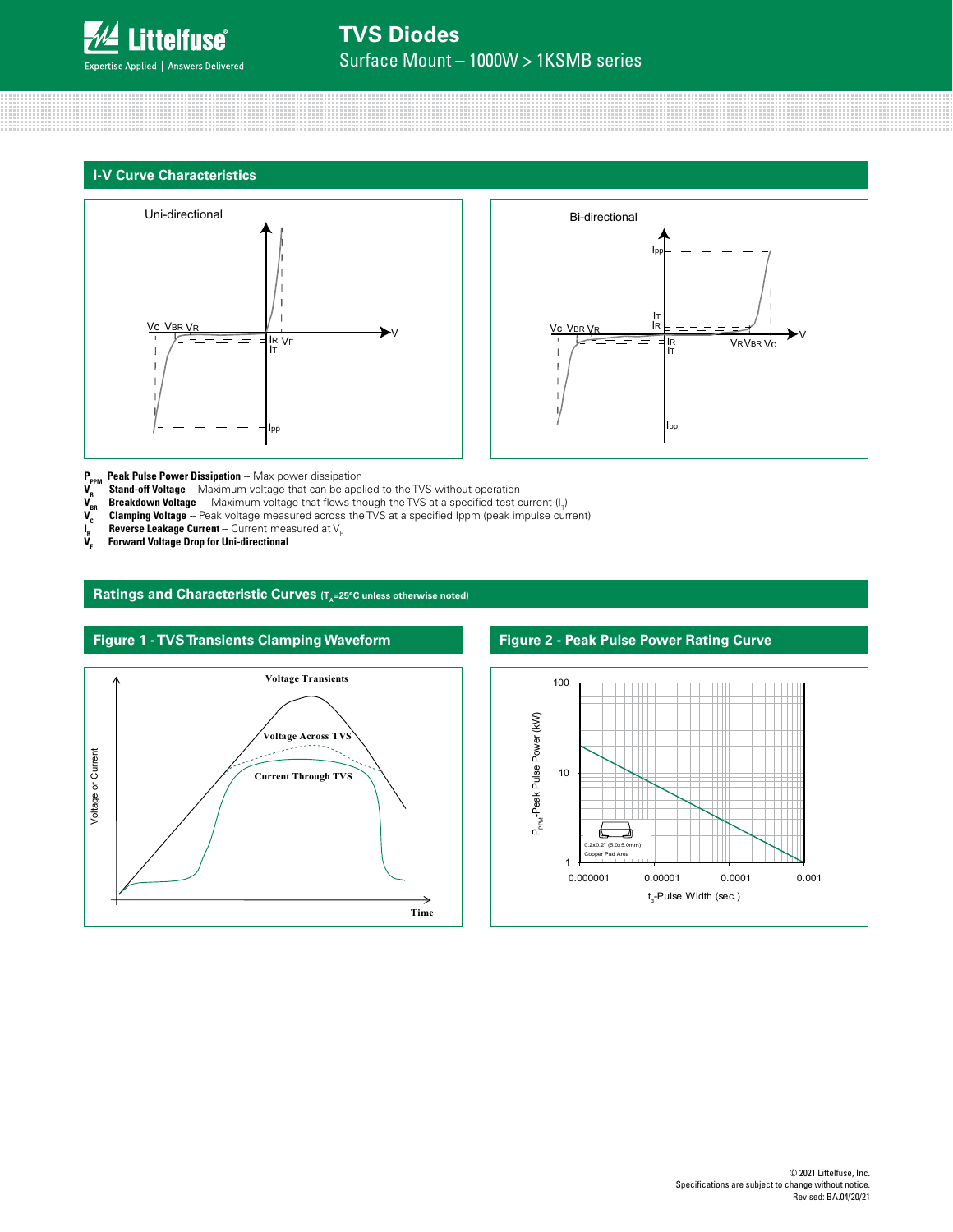

# **TVS Diodes**

Surface Mount – 1000W > 1KSMB series







- **P<sub>PPM</sub> Peak Pulse Power Dissipation** -- Max power dissipation<br>**V<sub>-</sub> Stand-off Voltage** -- Maximum voltage that can be appl **V<sub>R</sub> Stand-off Voltage** -- Maximum voltage that can be applied to the TVS without operation
- **V<sub>BR</sub> Breakdown Voltage** -- Maximum voltage that flows though the TVS at a specified test current (I<sub>T</sub>)
- $\bm{V_c}$  **Clamping Voltage** Peak voltage measured across the TVS at a specified Ippm (peak impulse current)
- **Reverse Leakage Current** -- Current measured at V<sub>R</sub>
- **I**<sub>R</sub><br>V<sub>E</sub> **Forward Voltage Drop for Uni-directional**

Ratings and Characteristic Curves (T<sub>A</sub>=25°C unless otherwise noted)





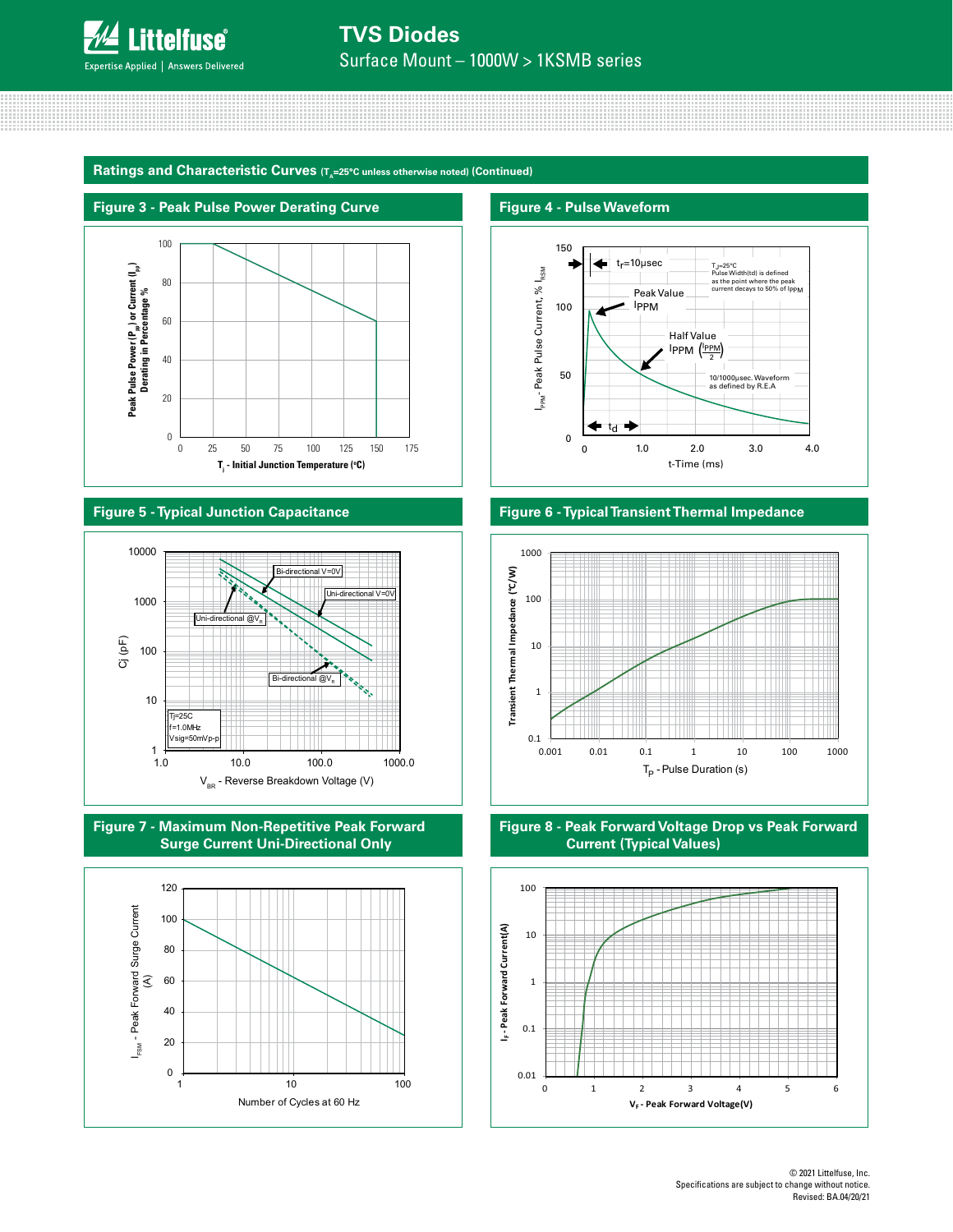

# **TVS Diodes**

Surface Mount – 1000W > 1KSMB series

Ratings and Characteristic Curves (T<sub>A</sub>=25°C unless otherwise noted) (Continued)



#### **Figure 5 - Typical Junction Capacitance**









#### **Figure 6 - Typical Transient Thermal Impedance**





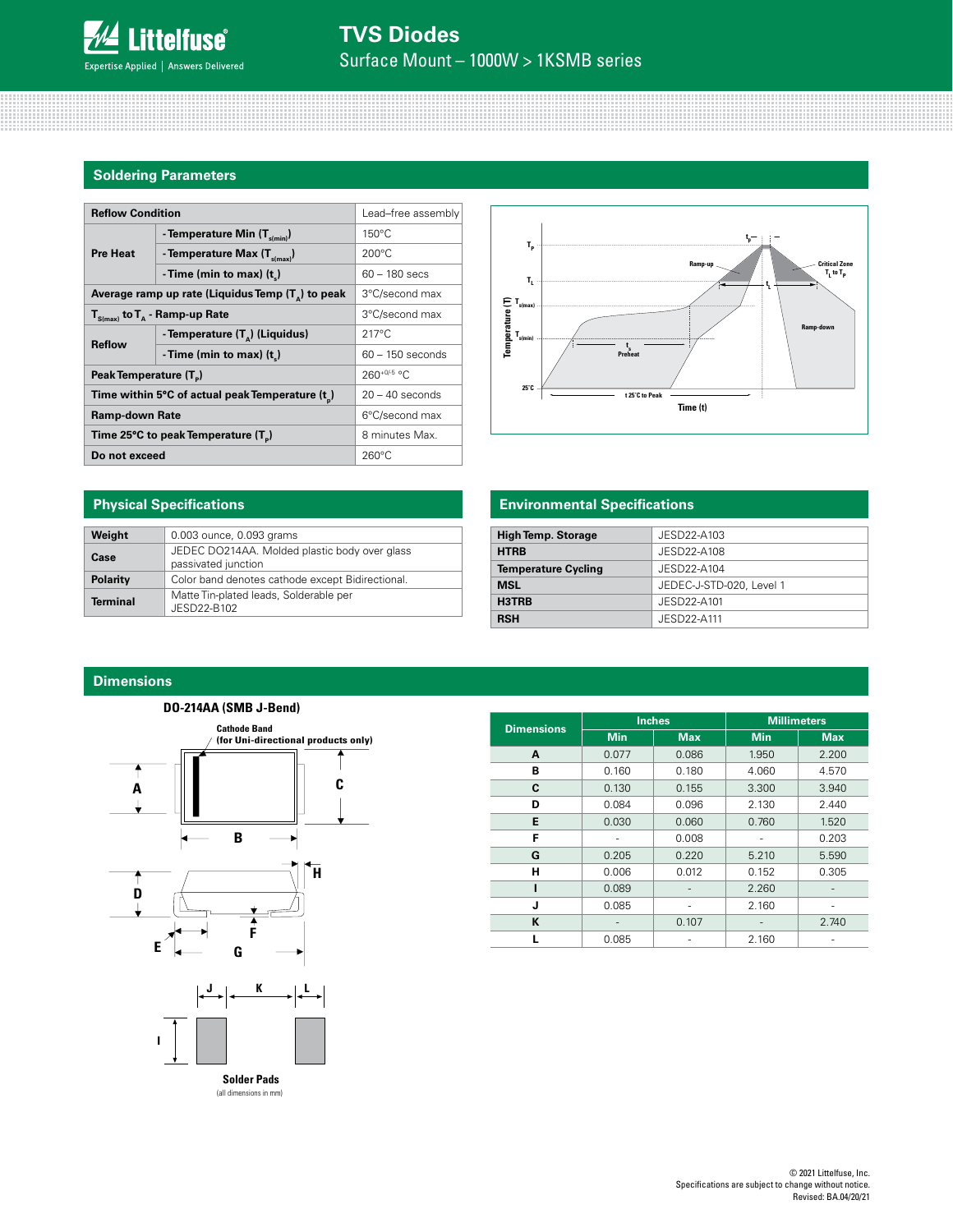

### **TVS Diodes** Surface Mount – 1000W > 1KSMB series

#### **Soldering Parameters**

| <b>Reflow Condition</b>                                    | Lead-free assembly                     |                    |
|------------------------------------------------------------|----------------------------------------|--------------------|
| <b>Pre Heat</b>                                            | - Temperature Min $(T_{\text{s/min}})$ | $150^{\circ}$ C    |
|                                                            | - Temperature Max $(T_{\text{simax}})$ | $200^{\circ}$ C    |
|                                                            | -Time (min to max) $(t_$ )             | $60 - 180$ secs    |
| Average ramp up rate (Liquidus Temp $(T_{\alpha})$ to peak | 3°C/second max                         |                    |
| $T_{S(max)}$ to $T_{A}$ - Ramp-up Rate                     | 3°C/second max                         |                    |
| <b>Reflow</b>                                              | - Temperature $(T_A)$ (Liquidus)       | $217^{\circ}$ C    |
|                                                            | - Time (min to max) $(t_*)$            | $60 - 150$ seconds |
| Peak Temperature (T <sub>n</sub> )                         | 260+0/-5 °C                            |                    |
| Time within 5°C of actual peak Temperature (t)             | $20 - 40$ seconds                      |                    |
| <b>Ramp-down Rate</b>                                      | 6°C/second max                         |                    |
| Time 25°C to peak Temperature (T <sub>a</sub> )            | 8 minutes Max.                         |                    |
| Do not exceed                                              | $260^{\circ}$ C                        |                    |



#### **Physical Specifications**

| Weight          | 0.003 ounce, 0.093 grams                                             |
|-----------------|----------------------------------------------------------------------|
| Case            | JEDEC DO214AA. Molded plastic body over glass<br>passivated junction |
| Polarity        | Color band denotes cathode except Bidirectional.                     |
| <b>Terminal</b> | Matte Tin-plated leads, Solderable per<br>JESD22-B102                |

#### **Environmental Specifications**

| <b>High Temp. Storage</b>  | JESD22-A103              |  |  |
|----------------------------|--------------------------|--|--|
| <b>HTRB</b>                | JESD22-A108              |  |  |
| <b>Temperature Cycling</b> | JESD22-A104              |  |  |
| <b>MSL</b>                 | JEDEC-J-STD-020, Level 1 |  |  |
| H3TRB                      | JESD22-A101              |  |  |
| <b>RSH</b>                 | JESD22-A111              |  |  |

#### **Dimensions**

# **DO-214AA (SMB J-Bend) Cathode Band (for Uni-directional products only)** 1 **C A B H D F**  $E$   $\left|$   $\left|$   $\right|$   $\left|$   $\right|$   $\left|$   $\right|$   $\left|$   $\right|$   $\left|$   $\right|$ **K**  $\lfloor L \rfloor$ **I**

**Dimensions Inches Millimeters Min Max Min Max A** 0.077 0.086 1.950 2.200 **B** 0.160 0.180 4.060 4.570 **C**  $\begin{array}{|c|c|c|c|c|c|} \hline \textbf{C} & \textbf{0.130} & \textbf{0.155} & \textbf{3.300} & \textbf{3.940} \end{array}$ **D** 0.084 0.096 2.130 2.440 **E** | 0.030 | 0.060 | 0.760 | 1.520 **F** - 0.008 - 0.203 **G**  $\begin{array}{|c|c|c|c|c|c|} \hline \textbf{G} & \textbf{0.205} & \textbf{0.220} & \textbf{5.210} & \textbf{5.590} \hline \end{array}$ **H** | 0.006 | 0.012 | 0.152 | 0.305 **I** 0.089 - 2.260 - **J** 0.085 - 2.160 -**K** - 0.107 - 2.740 **L** 0.085 - 2.160 -

(all dimensions in mm) **Solder Pads**